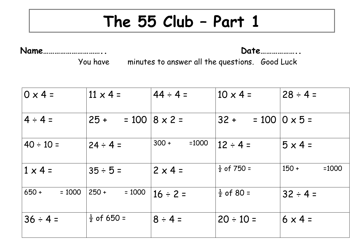## **The 55 Club – Part 1**

**Name………………………….. Date………………..**

You have minutes to answer all the questions. Good Luck

| $0 \times 4 =$      | $11 \times 4 =$        | $44 \div 4 =$          | $10 \times 4 =$        | $28 \div 4 =$      |
|---------------------|------------------------|------------------------|------------------------|--------------------|
| $4 \div 4 =$        | $25 +$                 | $= 100   8 \times 2 =$ | $32 +$<br>$= 100$      | $10 \times 5 =$    |
| $40 \div 10 =$      | $24 \div 4 =$          | $300 +$<br>$=1000$     | $12 \div 4 =$          | $5 \times 4 =$     |
| $1 \times 4 =$      | $35 \div 5 =$          | $2 \times 4 =$         | $\frac{1}{2}$ of 750 = | $=1000$<br>$150 +$ |
| $650 +$<br>$= 1000$ | $250 +$<br>$= 1000$    | $16 \div 2 =$          | $\frac{1}{2}$ of 80 =  | $32 \div 4 =$      |
| $36 \div 4 =$       | $\frac{1}{2}$ of 650 = | $8 \div 4 =$           | $20 \div 10 =$         | $6 \times 4 =$     |